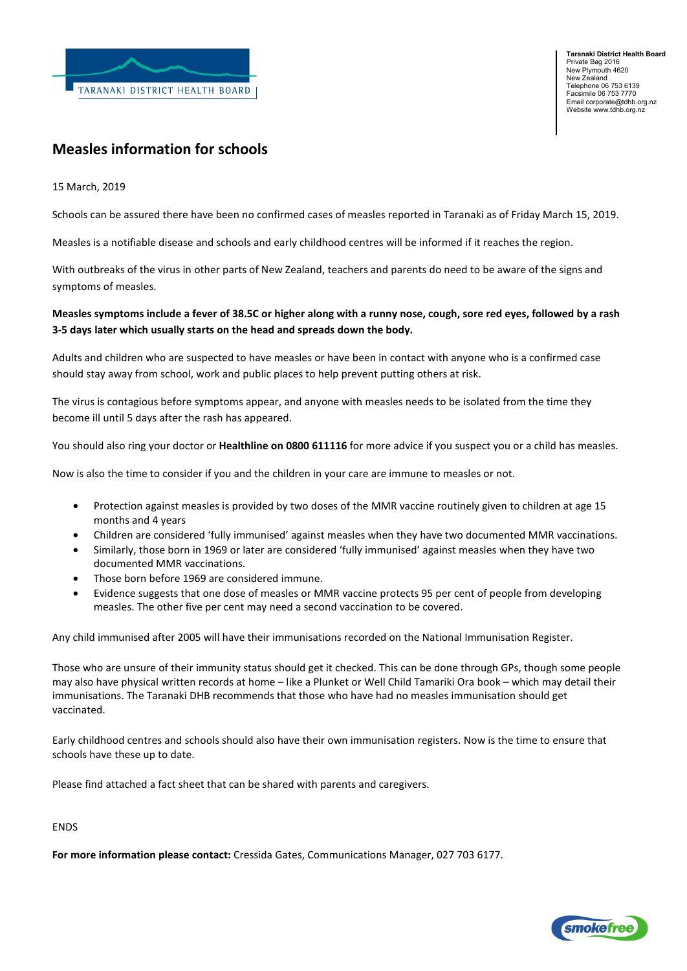

**Taranaki District Health Board** Private Bag 2016 New Plymouth 4620 New Zealand rvew Zealand<br>Telephone 06 753 6139 Facsimile 06 753 7770 Email corporate@tdhb.org.nz Website www.tdhb.org.nz

## **Measles information for schools**

15 March, 2019

Schools can be assured there have been no confirmed cases of measles reported in Taranaki as of Friday March 15, 2019.

Measles is a notifiable disease and schools and early childhood centres will be informed if it reaches the region.

With outbreaks of the virus in other parts of New Zealand, teachers and parents do need to be aware of the signs and symptoms of measles.

## **Measles symptoms include a fever of 38.5C or higher along with a runny nose, cough, sore red eyes, followed by a rash 3-5 days later which usually starts on the head and spreads down the body.**

Adults and children who are suspected to have measles or have been in contact with anyone who is a confirmed case should stay away from school, work and public places to help prevent putting others at risk.

The virus is contagious before symptoms appear, and anyone with measles needs to be isolated from the time they become ill until 5 days after the rash has appeared.

You should also ring your doctor or **Healthline on 0800 611116** for more advice if you suspect you or a child has measles.

Now is also the time to consider if you and the children in your care are immune to measles or not.

- Protection against measles is provided by two doses of the MMR vaccine routinely given to children at age 15 months and 4 years
- Children are considered 'fully immunised' against measles when they have two documented MMR vaccinations.
- Similarly, those born in 1969 or later are considered 'fully immunised' against measles when they have two documented MMR vaccinations.
- Those born before 1969 are considered immune.
- Evidence suggests that one dose of measles or MMR vaccine protects 95 per cent of people from developing measles. The other five per cent may need a second vaccination to be covered.

Any child immunised after 2005 will have their immunisations recorded on the National Immunisation Register.

Those who are unsure of their immunity status should get it checked. This can be done through GPs, though some people may also have physical written records at home – like a Plunket or Well Child Tamariki Ora book – which may detail their immunisations. The Taranaki DHB recommends that those who have had no measles immunisation should get vaccinated.

Early childhood centres and schools should also have their own immunisation registers. Now is the time to ensure that schools have these up to date.

Please find attached a fact sheet that can be shared with parents and caregivers.

ENDS

**For more information please contact:** Cressida Gates, Communications Manager, 027 703 6177.